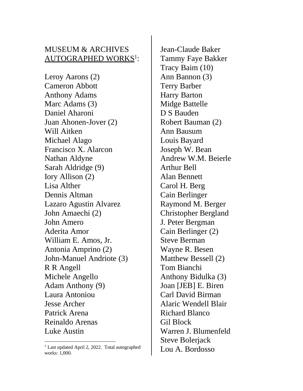## MUSEUM & ARCHIVES AUTOGRAPHED WORKS<sup>1</sup>:

Leroy Aarons (2) Cameron Abbott Anthony Adams Marc Adams (3) Daniel Aharoni Juan Ahonen-Jover (2) Will Aitken Michael Alago Francisco X. Alarcon Nathan Aldyne Sarah Aldridge (9) Iory Allison (2) Lisa Alther Dennis Altman Lazaro Agustin Alvarez John Amaechi (2) John Amero Aderita Amor William E. Amos, Jr. Antonia Amprino (2) John-Manuel Andriote (3) R R Angell Michele Angello Adam Anthony (9) Laura Antoniou Jesse Archer Patrick Arena Reinaldo Arenas Luke Austin

Jean-Claude Baker Tammy Faye Bakker Tracy Baim (10) Ann Bannon (3) Terry Barber Harry Barton Midge Battelle D S Bauden Robert Bauman (2) Ann Bausum Louis Bayard Joseph W. Bean Andrew W.M. Beierle Arthur Bell Alan Bennett Carol H. Berg Cain Berlinger Raymond M. Berger Christopher Bergland J. Peter Bergman Cain Berlinger (2) Steve Berman Wayne R. Besen Matthew Bessell (2) Tom Bianchi Anthony Bidulka (3) Joan [JEB] E. Biren Carl David Birman Alaric Wendell Blair Richard Blanco Gil Block Warren J. Blumenfeld Steve Bolerjack Lou A. Bordosso

<sup>&</sup>lt;sup>1</sup> Last updated April 2, 2022. Total autographed works: 1,000.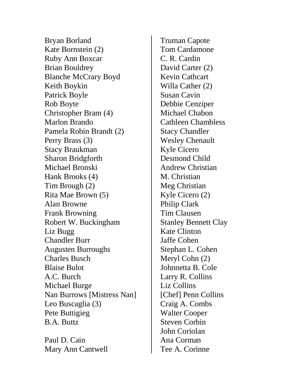Bryan Borland Kate Bornstein (2) Ruby Ann Boxcar Brian Bouldrey Blanche McCrary Boyd Keith Boykin Patrick Boyle Rob Boyte Christopher Bram (4) Marlon Brando Pamela Robin Brandt (2) Perry Brass (3) Stacy Braukman Sharon Bridgforth Michael Bronski Hank Brooks (4) Tim Brough (2) Rita Mae Brown (5) Alan Browne Frank Browning Robert W. Buckingham Liz Bugg Chandler Burr Augusten Burroughs Charles Busch Blaise Bulot A.C. Burch Michael Burge Nan Burrows [Mistress Nan] Leo Buscaglia (3) Pete Buttigieg B.A. Buttz

Paul D. Cain Mary Ann Cantwell Truman Capote Tom Cardamone C. R. Cardin David Carter (2) Kevin Cathcart Willa Cather (2) Susan Cavin Debbie Cenziper Michael Chabon Cathleen Chambless Stacy Chandler Wesley Chenault Kyle Cicero Desmond Child Andrew Christian M. Christian Meg Christian Kyle Cicero (2) Philip Clark Tim Clausen Stanley Bennett Clay Kate Clinton Jaffe Cohen Stephan L. Cohen Meryl Cohn (2) Johnnetta B. Cole Larry R. Collins Liz Collins [Chef] Penn Collins Craig A. Combs Walter Cooper Steven Corbin John Coriolan Ana Corman Tee A. Corinne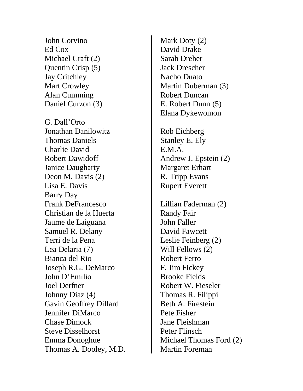John Corvino Ed Cox Michael Craft (2) Quentin Crisp (5) Jay Critchley Mart Crowley Alan Cumming Daniel Curzon (3)

G. Dall'Orto Jonathan Danilowitz Thomas Daniels Charlie David Robert Dawidoff Janice Daugharty Deon M. Davis (2) Lisa E. Davis Barry Day Frank DeFrancesco Christian de la Huerta Jaume de Laiguana Samuel R. Delany Terri de la Pena Lea Delaria (7) Bianca del Rio Joseph R.G. DeMarco John D'Emilio Joel Derfner Johnny Diaz (4) Gavin Geoffrey Dillard Jennifer DiMarco Chase Dimock Steve Disselhorst Emma Donoghue Thomas A. Dooley, M.D. Mark Doty (2) David Drake Sarah Dreher Jack Drescher Nacho Duato Martin Duberman (3) Robert Duncan E. Robert Dunn (5) Elana Dykewomon

Rob Eichberg Stanley E. Ely E.M.A. Andrew J. Epstein (2) Margaret Erhart R. Tripp Evans Rupert Everett

Lillian Faderman (2) Randy Fair John Faller David Fawcett Leslie Feinberg (2) Will Fellows (2) Robert Ferro F. Jim Fickey Brooke Fields Robert W. Fieseler Thomas R. Filippi Beth A. Firestein Pete Fisher Jane Fleishman Peter Flinsch Michael Thomas Ford (2) Martin Foreman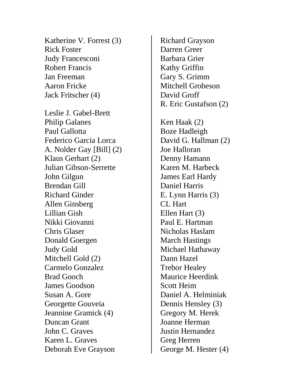Katherine V. Forrest (3) Rick Foster Judy Francesconi Robert Francis Jan Freeman Aaron Fricke Jack Fritscher (4)

Leslie J. Gabel-Brett Philip Galanes Paul Gallotta Federico Garcia Lorca A. Nolder Gay [Bill] (2) Klaus Gerhart (2) Julian Gibson-Serrette John Gilgun Brendan Gill Richard Ginder Allen Ginsberg Lillian Gish Nikki Giovanni Chris Glaser Donald Goergen Judy Gold Mitchell Gold (2) Carmelo Gonzalez Brad Gooch James Goodson Susan A. Gore Georgette Gouveia Jeannine Gramick (4) Duncan Grant John C. Graves Karen L. Graves Deborah Eve Grayson

Richard Grayson Darren Greer Barbara Grier Kathy Griffin Gary S. Grimm Mitchell Grobeson David Groff R. Eric Gustafson (2) Ken Haak (2) Boze Hadleigh David G. Hallman (2) Joe Halloran Denny Hamann Karen M. Harbeck James Earl Hardy Daniel Harris E. Lynn Harris (3) CL Hart Ellen Hart (3) Paul E. Hartman Nicholas Haslam March Hastings Michael Hathaway Dann Hazel Trebor Healey Maurice Heerdink Scott Heim Daniel A. Helminiak Dennis Hensley (3) Gregory M. Herek Joanne Herman Justin Hernandez Greg Herren George M. Hester (4)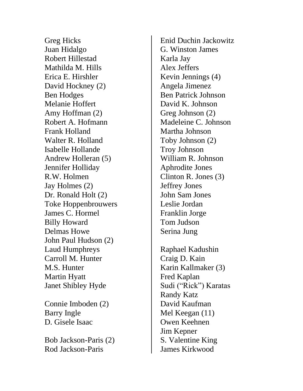Greg Hicks Juan Hidalgo Robert Hillestad Mathilda M. Hills Erica E. Hirshler David Hockney (2) Ben Hodges Melanie Hoffert Amy Hoffman (2) Robert A. Hofmann Frank Holland Walter R. Holland Isabelle Hollande Andrew Holleran (5) Jennifer Holliday R.W. Holmen Jay Holmes (2) Dr. Ronald Holt (2) Toke Hoppenbrouwers James C. Hormel Billy Howard Delmas Howe John Paul Hudson (2) Laud Humphreys Carroll M. Hunter M.S. Hunter Martin Hyatt Janet Shibley Hyde

Connie Imboden (2) Barry Ingle D. Gisele Isaac

Bob Jackson-Paris (2) Rod Jackson-Paris

Enid Duchin Jackowitz G. Winston James Karla Jay Alex Jeffers Kevin Jennings (4) Angela Jimenez Ben Patrick Johnson David K. Johnson Greg Johnson (2) Madeleine C. Johnson Martha Johnson Toby Johnson (2) Troy Johnson William R. Johnson Aphrodite Jones Clinton R. Jones (3) Jeffrey Jones John Sam Jones Leslie Jordan Franklin Jorge Tom Judson Serina Jung

Raphael Kadushin Craig D. Kain Karin Kallmaker (3) Fred Kaplan Sudi ("Rick") Karatas Randy Katz David Kaufman Mel Keegan (11) Owen Keehnen Jim Kepner S. Valentine King James Kirkwood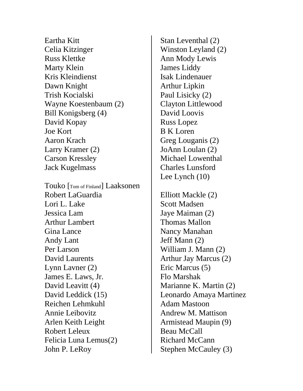Eartha Kitt Celia Kitzinger Russ Klettke Marty Klein Kris Kleindienst Dawn Knight Trish Kocialski Wayne Koestenbaum (2) Bill Konigsberg (4) David Kopay Joe Kort Aaron Krach Larry Kramer (2) Carson Kressley Jack Kugelmass Touko [Tom of Finland] Laaksonen Robert LaGuardia Lori L. Lake Jessica Lam Arthur Lambert Gina Lance Andy Lant Per Larson David Laurents Lynn Lavner (2) James E. Laws, Jr. David Leavitt (4) David Leddick (15) Reichen Lehmkuhl Annie Leibovitz Arlen Keith Leight Robert Leleux Felicia Luna Lemus(2) John P. LeRoy

Stan Leventhal (2) Winston Leyland (2) Ann Mody Lewis James Liddy Isak Lindenauer Arthur Lipkin Paul Lisicky (2) Clayton Littlewood David Loovis Russ Lopez B K Loren Greg Louganis (2) JoAnn Loulan (2) Michael Lowenthal Charles Lunsford Lee Lynch (10) Elliott Mackle (2) Scott Madsen Jaye Maiman (2) Thomas Mallon Nancy Manahan Jeff Mann (2) William J. Mann (2) Arthur Jay Marcus (2) Eric Marcus (5) Flo Marshak Marianne K. Martin (2) Leonardo Amaya Martinez Adam Mastoon Andrew M. Mattison Armistead Maupin (9) Beau McCall Richard McCann Stephen McCauley (3)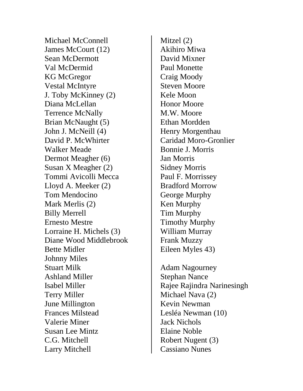Michael McConnell James McCourt (12) Sean McDermott Val McDermid KG McGregor Vestal McIntyre J. Toby McKinney (2) Diana McLellan Terrence McNally Brian McNaught (5) John J. McNeill (4) David P. McWhirter Walker Meade Dermot Meagher (6) Susan X Meagher (2) Tommi Avicolli Mecca Lloyd A. Meeker (2) Tom Mendocino Mark Merlis (2) Billy Merrell Ernesto Mestre Lorraine H. Michels (3) Diane Wood Middlebrook Bette Midler Johnny Miles Stuart Milk Ashland Miller Isabel Miller Terry Miller June Millington Frances Milstead Valerie Miner Susan Lee Mintz C.G. Mitchell Larry Mitchell

Mitzel (2) Akihiro Miwa David Mixner Paul Monette Craig Moody Steven Moore Kele Moon Honor Moore M.W. Moore Ethan Mordden Henry Morgenthau Caridad Moro-Gronlier Bonnie J. Morris Jan Morris Sidney Morris Paul F. Morrissey Bradford Morrow George Murphy Ken Murphy Tim Murphy Timothy Murphy William Murray Frank Muzzy Eileen Myles 43) Adam Nagourney Stephan Nance Michael Nava (2) Kevin Newman

Rajee Rajindra Narinesingh Lesléa Newman (10) Jack Nichols Elaine Noble Robert Nugent (3) Cassiano Nunes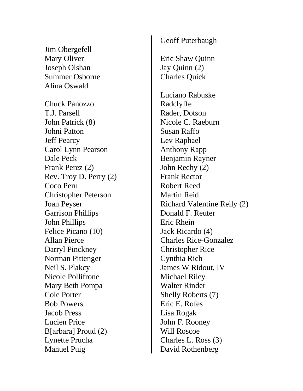Jim Obergefell Mary Oliver Joseph Olshan Summer Osborne Alina Oswald Chuck Panozzo T.J. Parsell John Patrick (8) Johni Patton Jeff Pearcy Carol Lynn Pearson Dale Peck Frank Perez (2) Rev. Troy D. Perry (2) Coco Peru Christopher Peterson Joan Peyser Garrison Phillips John Phillips Felice Picano (10) Allan Pierce Darryl Pinckney Norman Pittenger Neil S. Plakcy

Nicole Pollifrone Mary Beth Pompa

B[arbara] Proud (2)

Lynette Prucha

Manuel Puig

Cole Porter Bob Powers Jacob Press Lucien Price

## Geoff Puterbaugh

Eric Shaw Quinn Jay Quinn (2) Charles Quick

Luciano Rabuske Radclyffe Rader, Dotson Nicole C. Raeburn Susan Raffo Lev Raphael Anthony Rapp Benjamin Rayner John Rechy (2) Frank Rector Robert Reed Martin Reid Richard Valentine Reily (2) Donald F. Reuter Eric Rhein Jack Ricardo (4) Charles Rice-Gonzalez Christopher Rice Cynthia Rich James W Ridout, IV Michael Riley Walter Rinder Shelly Roberts (7) Eric E. Rofes Lisa Rogak John F. Rooney Will Roscoe Charles L. Ross (3) David Rothenberg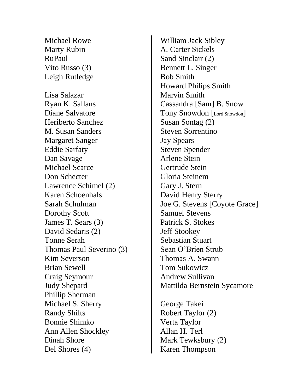Michael Rowe Marty Rubin RuPaul Vito Russo (3) Leigh Rutledge Lisa Salazar Ryan K. Sallans Diane Salvatore Heriberto Sanchez M. Susan Sanders Margaret Sanger Eddie Sarfaty Dan Savage Michael Scarce Don Schecter Lawrence Schimel (2) Karen Schoenhals Sarah Schulman Dorothy Scott James T. Sears (3) David Sedaris (2) Tonne Serah Thomas Paul Severino (3) Kim Severson Brian Sewell Craig Seymour Judy Shepard Phillip Sherman Michael S. Sherry Randy Shilts Bonnie Shimko Ann Allen Shockley Dinah Shore Del Shores (4)

William Jack Sibley A. Carter Sickels Sand Sinclair (2) Bennett L. Singer Bob Smith Howard Philips Smith Marvin Smith Cassandra [Sam] B. Snow Tony Snowdon [Lord Snowdon] Susan Sontag (2) Steven Sorrentino Jay Spears Steven Spender Arlene Stein Gertrude Stein Gloria Steinem Gary J. Stern David Henry Sterry Joe G. Stevens [Coyote Grace] Samuel Stevens Patrick S. Stokes Jeff Stookey Sebastian Stuart Sean O'Brien Strub Thomas A. Swann Tom Sukowicz Andrew Sullivan Mattilda Bernstein Sycamore

George Takei Robert Taylor (2) Verta Taylor Allan H. Terl Mark Tewksbury (2) Karen Thompson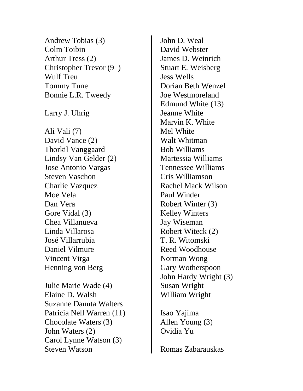Andrew Tobias (3) Colm Toibin Arthur Tress (2) Christopher Trevor (9 ) Wulf Treu Tommy Tune Bonnie L.R. Tweedy Larry J. Uhrig Ali Vali (7) David Vance (2) Thorkil Vanggaard Lindsy Van Gelder (2) Jose Antonio Vargas Steven Vaschon Charlie Vazquez Moe Vela Dan Vera Gore Vidal (3) Chea Villanueva Linda Villarosa José Villarrubia Daniel Vilmure Vincent Virga Henning von Berg Julie Marie Wade (4)

Elaine D. Walsh Suzanne Danuta Walters Patricia Nell Warren (11) Chocolate Waters (3) John Waters (2) Carol Lynne Watson (3) Steven Watson

John D. Weal David Webster James D. Weinrich Stuart E. Weisberg Jess Wells Dorian Beth Wenzel Joe Westmoreland Edmund White (13) Jeanne White Marvin K. White Mel White Walt Whitman Bob Williams Martessia Williams Tennessee Williams Cris Williamson Rachel Mack Wilson Paul Winder Robert Winter (3) Kelley Winters Jay Wiseman Robert Witeck (2) T. R. Witomski Reed Woodhouse Norman Wong Gary Wotherspoon John Hardy Wright (3) Susan Wright William Wright

Isao Yajima Allen Young (3) Ovidia Yu

Romas Zabarauskas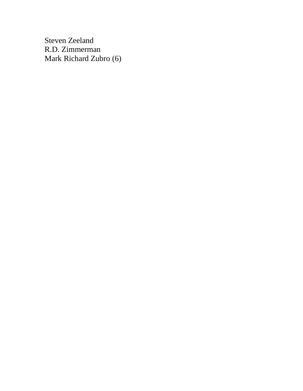Steven Zeeland R.D. Zimmerman Mark Richard Zubro (6)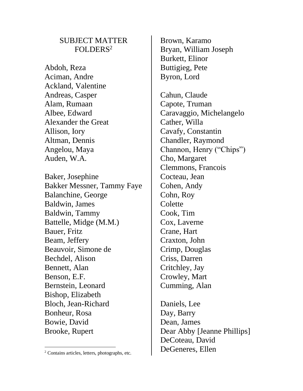## SUBJECT MATTER FOLDERS<sup>2</sup>

Abdoh, Reza Aciman, Andre Ackland, Valentine Andreas, Casper Alam, Rumaan Albee, Edward Alexander the Great Allison, Iory Altman, Dennis Angelou, Maya Auden, W.A.

Baker, Josephine Bakker Messner, Tammy Faye Balanchine, George Baldwin, James Baldwin, Tammy Battelle, Midge (M.M.) Bauer, Fritz Beam, Jeffery Beauvoir, Simone de Bechdel, Alison Bennett, Alan Benson, E.F. Bernstein, Leonard Bishop, Elizabeth Bloch, Jean-Richard Bonheur, Rosa Bowie, David Brooke, Rupert

Brown, Karamo Bryan, William Joseph Burkett, Elinor Buttigieg, Pete Byron, Lord

Cahun, Claude Capote, Truman Caravaggio, Michelangelo Cather, Willa Cavafy, Constantin Chandler, Raymond Channon, Henry ("Chips") Cho, Margaret Clemmons, Francois Cocteau, Jean Cohen, Andy Cohn, Roy **Colette** Cook, Tim Cox, Laverne Crane, Hart Craxton, John Crimp, Douglas Criss, Darren Critchley, Jay Crowley, Mart Cumming, Alan

Daniels, Lee Day, Barry Dean, James Dear Abby [Jeanne Phillips] DeCoteau, David DeGeneres, Ellen

<sup>2</sup> Contains articles, letters, photographs, etc.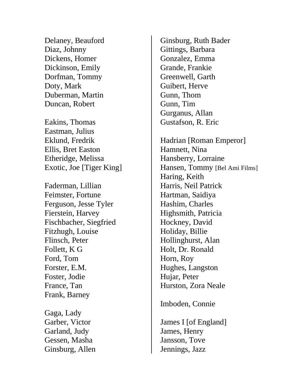Delaney, Beauford Diaz, Johnny Dickens, Homer Dickinson, Emily Dorfman, Tommy Doty, Mark Duberman, Martin Duncan, Robert

Eakins, Thomas Eastman, Julius Eklund, Fredrik Ellis, Bret Easton Etheridge, Melissa Exotic, Joe [Tiger King]

Faderman, Lillian Feimster, Fortune Ferguson, Jesse Tyler Fierstein, Harvey Fischbacher, Siegfried Fitzhugh, Louise Flinsch, Peter Follett, K G Ford, Tom Forster, E.M. Foster, Jodie France, Tan Frank, Barney

Gaga, Lady Garber, Victor Garland, Judy Gessen, Masha Ginsburg, Allen Ginsburg, Ruth Bader Gittings, Barbara Gonzalez, Emma Grande, Frankie Greenwell, Garth Guibert, Herve Gunn, Thom Gunn, Tim Gurganus, Allan Gustafson, R. Eric

Hadrian [Roman Emperor] Hamnett, Nina Hansberry, Lorraine Hansen, Tommy [Bel Ami Films] Haring, Keith Harris, Neil Patrick Hartman, Saidiya Hashim, Charles Highsmith, Patricia Hockney, David Holiday, Billie Hollinghurst, Alan Holt, Dr. Ronald Horn, Roy Hughes, Langston Hujar, Peter Hurston, Zora Neale

Imboden, Connie

James I [of England] James, Henry Jansson, Tove Jennings, Jazz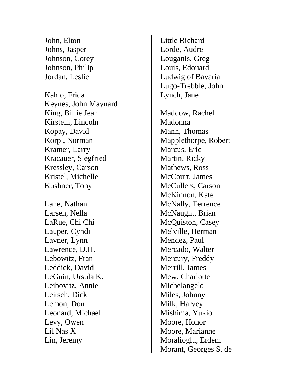John, Elton Johns, Jasper Johnson, Corey Johnson, Philip Jordan, Leslie

Kahlo, Frida Keynes, John Maynard King, Billie Jean Kirstein, Lincoln Kopay, David Korpi, Norman Kramer, Larry Kracauer, Siegfried Kressley, Carson Kristel, Michelle Kushner, Tony

Lane, Nathan Larsen, Nella LaRue, Chi Chi Lauper, Cynd i Lavner, Lynn Lawrence, D.H. Lebowitz, Fran Leddick, David LeGuin, Ursula K. Leibovitz, Annie Leitsch, Dick Lemon, Don Leonard, Michael Levy, Owen Lil Nas X Lin, Jeremy

Little Richard Lorde, Audre Louganis, Greg Louis, Edouard Ludwig of Bavaria Lugo -Trebble, John Lynch, Jane

Maddow, Rachel Madonna Mann, Thomas Mapplethorpe, Robert Marcus, Eric Martin, Ricky Mathews, Ross McCourt, James McCullers, Carson McKinnon, Kate McNally, Terrence McNaught, Brian McQuiston, Casey Melville, Herman Mendez, Paul Mercado, Walter Mercury, Freddy Merrill, James Mew, Charlotte Michelangelo Miles, Johnny Milk, Harvey Mishima, Yukio Moore, Honor Moore, Marianne Moralioglu, Erdem Morant, Georges S. de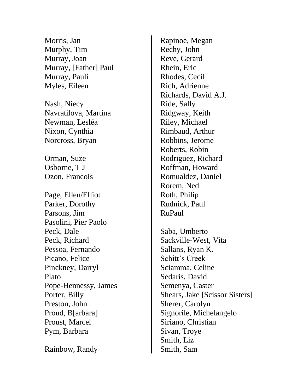Morris, Jan Murphy, Tim Murray, Joan Murray, [Father] Paul Murray, Pauli Myles, Eileen

Nash, Niecy Navratilova, Martina Newman, Lesléa Nixon, Cynthia Norcross, Bryan

Orman, Suze Osborne, T J Ozon, Francois

Page, Ellen/Elliot Parker, Dorothy Parsons, Jim Pasolini, Pier Paolo Peck, Dale Peck, Richard Pessoa, Fernando Picano, Felice Pinckney, Darryl Plato Pope-Hennessy, James Porter, Billy Preston, John Proud, B[arbara] Proust, Marcel Pym, Barbara

Rainbow, Randy

Rapinoe, Megan Rechy, John Reve, Gerard Rhein, Eric Rhodes, Cecil Rich, Adrienne Richards, David A.J. Ride, Sally Ridgway, Keith Riley, Michael Rimbaud, Arthur Robbins, Jerome Roberts, Robin Rodriguez, Richard Roffman, Howard Romualdez, Daniel Rorem, Ned Roth, Philip Rudnick, Paul RuPaul

Saba, Umberto Sackville-West, Vita Sallans, Ryan K. Schitt's Creek Sciamma, Celine Sedaris, David Semenya, Caster Shears, Jake [Scissor Sisters] Sherer, Carolyn Signorile, Michelangelo Siriano, Christian Sivan, Troye Smith, Liz Smith, Sam